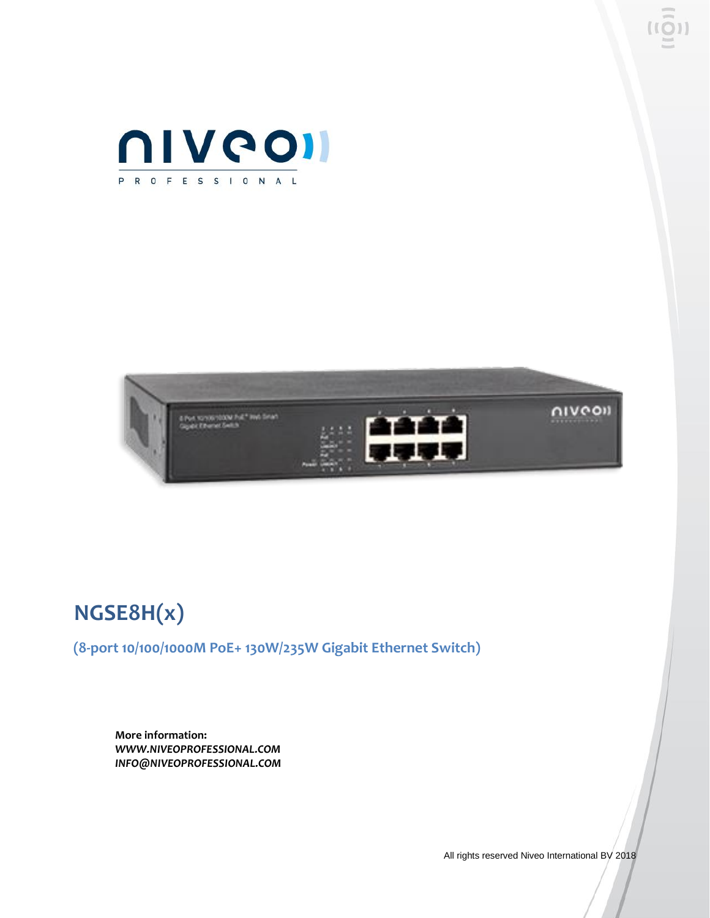



## **NGSE8H(x)**

**(8-port 10/100/1000M PoE+ 130W/235W Gigabit Ethernet Switch)**

**More information:** *WWW.NIVEOPROFESSIONAL.COM INFO@NIVEOPROFESSIONAL.COM*

All rights reserved Niveo International BV 2018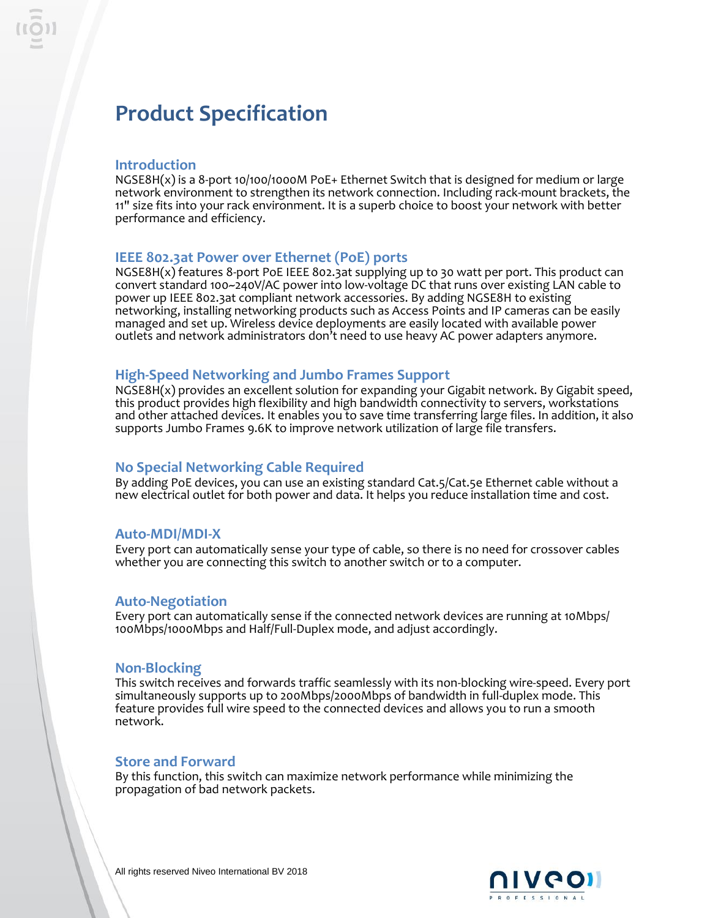### **Product Specification**

#### **Introduction**

NGSE8H(x) is a 8-port 10/100/1000M PoE+ Ethernet Switch that is designed for medium or large network environment to strengthen its network connection. Including rack-mount brackets, the 11" size fits into your rack environment. It is a superb choice to boost your network with better performance and efficiency.

#### **IEEE 802.3at Power over Ethernet (PoE) ports**

NGSE8H(x) features 8-port PoE IEEE 802.3at supplying up to 30 watt per port. This product can convert standard 100~240V/AC power into low-voltage DC that runs over existing LAN cable to power up IEEE 802.3at compliant network accessories. By adding NGSE8H to existing networking, installing networking products such as Access Points and IP cameras can be easily managed and set up. Wireless device deployments are easily located with available power outlets and network administrators don't need to use heavy AC power adapters anymore.

#### **High-Speed Networking and Jumbo Frames Support**

NGSE8H(x) provides an excellent solution for expanding your Gigabit network. By Gigabit speed, this product provides high flexibility and high bandwidth connectivity to servers, workstations and other attached devices. It enables you to save time transferring large files. In addition, it also supports Jumbo Frames 9.6K to improve network utilization of large file transfers.

#### **No Special Networking Cable Required**

By adding PoE devices, you can use an existing standard Cat.5/Cat.5e Ethernet cable without a new electrical outlet for both power and data. It helps you reduce installation time and cost.

#### **Auto-MDI/MDI-X**

Every port can automatically sense your type of cable, so there is no need for crossover cables whether you are connecting this switch to another switch or to a computer.

#### **Auto-Negotiation**

Every port can automatically sense if the connected network devices are running at 10Mbps/ 100Mbps/1000Mbps and Half/Full-Duplex mode, and adjust accordingly.

#### **Non-Blocking**

This switch receives and forwards traffic seamlessly with its non-blocking wire-speed. Every port simultaneously supports up to 200Mbps/2000Mbps of bandwidth in full-duplex mode. This feature provides full wire speed to the connected devices and allows you to run a smooth network.

#### **Store and Forward**

By this function, this switch can maximize network performance while minimizing the propagation of bad network packets.